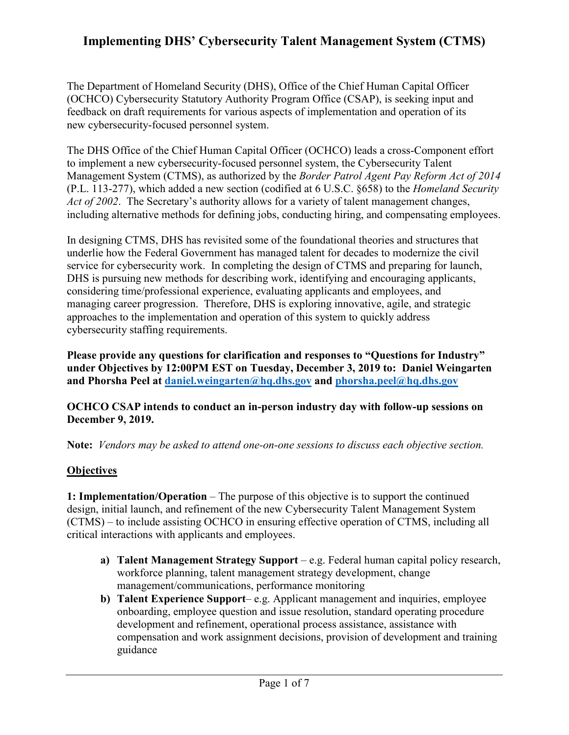The Department of Homeland Security (DHS), Office of the Chief Human Capital Officer (OCHCO) Cybersecurity Statutory Authority Program Office (CSAP), is seeking input and feedback on draft requirements for various aspects of implementation and operation of its new cybersecurity-focused personnel system.

The DHS Office of the Chief Human Capital Officer (OCHCO) leads a cross-Component effort to implement a new cybersecurity-focused personnel system, the Cybersecurity Talent Management System (CTMS), as authorized by the *Border Patrol Agent Pay Reform Act of 2014* (P.L. 113-277), which added a new section (codified at 6 U.S.C. §658) to the *Homeland Security Act of 2002*. The Secretary's authority allows for a variety of talent management changes, including alternative methods for defining jobs, conducting hiring, and compensating employees.

In designing CTMS, DHS has revisited some of the foundational theories and structures that underlie how the Federal Government has managed talent for decades to modernize the civil service for cybersecurity work. In completing the design of CTMS and preparing for launch, DHS is pursuing new methods for describing work, identifying and encouraging applicants, considering time/professional experience, evaluating applicants and employees, and managing career progression. Therefore, DHS is exploring innovative, agile, and strategic approaches to the implementation and operation of this system to quickly address cybersecurity staffing requirements.

**Please provide any questions for clarification and responses to "Questions for Industry" under Objectives by 12:00PM EST on Tuesday, December 3, 2019 to: Daniel Weingarten and Phorsha Peel at [daniel.weingarten@hq.dhs.gov](mailto:daniel.weingarten@hq.dhs.gov) and [phorsha.peel@hq.dhs.gov](mailto:phorsha.peel@hq.dhs.gov)**

#### **OCHCO CSAP intends to conduct an in-person industry day with follow-up sessions on December 9, 2019.**

**Note:** *Vendors may be asked to attend one-on-one sessions to discuss each objective section.* 

### **Objectives**

**1: Implementation/Operation** – The purpose of this objective is to support the continued design, initial launch, and refinement of the new Cybersecurity Talent Management System (CTMS) – to include assisting OCHCO in ensuring effective operation of CTMS, including all critical interactions with applicants and employees.

- **a) Talent Management Strategy Support** e.g. Federal human capital policy research, workforce planning, talent management strategy development, change management/communications, performance monitoring
- **b) Talent Experience Support** e.g. Applicant management and inquiries, employee onboarding, employee question and issue resolution, standard operating procedure development and refinement, operational process assistance, assistance with compensation and work assignment decisions, provision of development and training guidance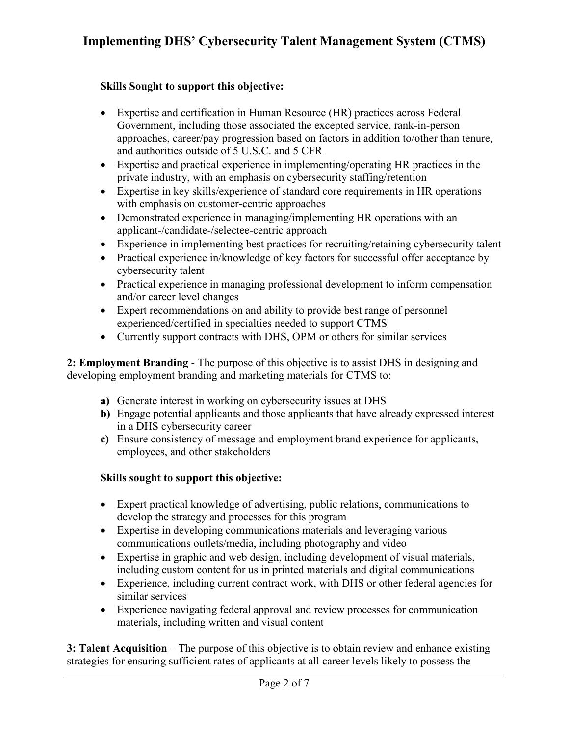#### **Skills Sought to support this objective:**

- Expertise and certification in Human Resource (HR) practices across Federal Government, including those associated the excepted service, rank-in-person approaches, career/pay progression based on factors in addition to/other than tenure, and authorities outside of 5 U.S.C. and 5 CFR
- Expertise and practical experience in implementing/operating HR practices in the private industry, with an emphasis on cybersecurity staffing/retention
- Expertise in key skills/experience of standard core requirements in HR operations with emphasis on customer-centric approaches
- Demonstrated experience in managing/implementing HR operations with an applicant-/candidate-/selectee-centric approach
- Experience in implementing best practices for recruiting/retaining cybersecurity talent
- Practical experience in/knowledge of key factors for successful offer acceptance by cybersecurity talent
- Practical experience in managing professional development to inform compensation and/or career level changes
- Expert recommendations on and ability to provide best range of personnel experienced/certified in specialties needed to support CTMS
- Currently support contracts with DHS, OPM or others for similar services

**2: Employment Branding** - The purpose of this objective is to assist DHS in designing and developing employment branding and marketing materials for CTMS to:

- **a)** Generate interest in working on cybersecurity issues at DHS
- **b)** Engage potential applicants and those applicants that have already expressed interest in a DHS cybersecurity career
- **c)** Ensure consistency of message and employment brand experience for applicants, employees, and other stakeholders

### **Skills sought to support this objective:**

- Expert practical knowledge of advertising, public relations, communications to develop the strategy and processes for this program
- Expertise in developing communications materials and leveraging various communications outlets/media, including photography and video
- Expertise in graphic and web design, including development of visual materials, including custom content for us in printed materials and digital communications
- Experience, including current contract work, with DHS or other federal agencies for similar services
- Experience navigating federal approval and review processes for communication materials, including written and visual content

**3: Talent Acquisition** – The purpose of this objective is to obtain review and enhance existing strategies for ensuring sufficient rates of applicants at all career levels likely to possess the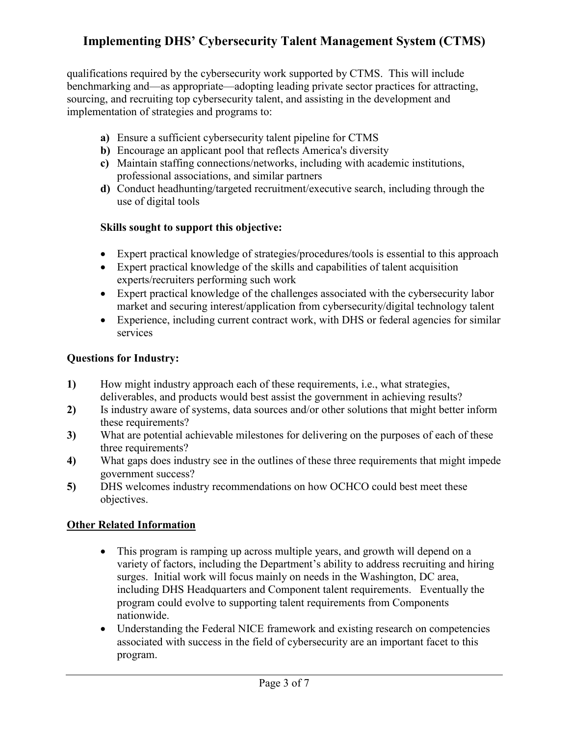qualifications required by the cybersecurity work supported by CTMS. This will include benchmarking and—as appropriate—adopting leading private sector practices for attracting, sourcing, and recruiting top cybersecurity talent, and assisting in the development and implementation of strategies and programs to:

- **a)** Ensure a sufficient cybersecurity talent pipeline for CTMS
- **b)** Encourage an applicant pool that reflects America's diversity
- **c)** Maintain staffing connections/networks, including with academic institutions, professional associations, and similar partners
- **d)** Conduct headhunting/targeted recruitment/executive search, including through the use of digital tools

### **Skills sought to support this objective:**

- Expert practical knowledge of strategies/procedures/tools is essential to this approach
- Expert practical knowledge of the skills and capabilities of talent acquisition experts/recruiters performing such work
- Expert practical knowledge of the challenges associated with the cybersecurity labor market and securing interest/application from cybersecurity/digital technology talent
- Experience, including current contract work, with DHS or federal agencies for similar services

#### **Questions for Industry:**

- **1)** How might industry approach each of these requirements, i.e., what strategies, deliverables, and products would best assist the government in achieving results?
- **2)** Is industry aware of systems, data sources and/or other solutions that might better inform these requirements?
- **3)** What are potential achievable milestones for delivering on the purposes of each of these three requirements?
- **4)** What gaps does industry see in the outlines of these three requirements that might impede government success?
- **5)** DHS welcomes industry recommendations on how OCHCO could best meet these objectives.

### **Other Related Information**

- This program is ramping up across multiple years, and growth will depend on a variety of factors, including the Department's ability to address recruiting and hiring surges. Initial work will focus mainly on needs in the Washington, DC area, including DHS Headquarters and Component talent requirements. Eventually the program could evolve to supporting talent requirements from Components nationwide.
- Understanding the Federal NICE framework and existing research on competencies associated with success in the field of cybersecurity are an important facet to this program.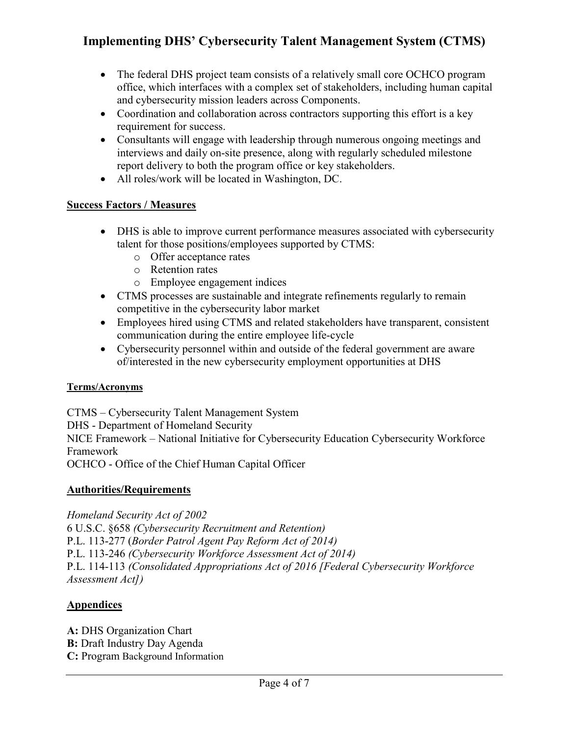- The federal DHS project team consists of a relatively small core OCHCO program office, which interfaces with a complex set of stakeholders, including human capital and cybersecurity mission leaders across Components.
- Coordination and collaboration across contractors supporting this effort is a key requirement for success.
- Consultants will engage with leadership through numerous ongoing meetings and interviews and daily on-site presence, along with regularly scheduled milestone report delivery to both the program office or key stakeholders.
- All roles/work will be located in Washington, DC.

### **Success Factors / Measures**

- DHS is able to improve current performance measures associated with cybersecurity talent for those positions/employees supported by CTMS:
	- o Offer acceptance rates
	- o Retention rates
	- o Employee engagement indices
- CTMS processes are sustainable and integrate refinements regularly to remain competitive in the cybersecurity labor market
- Employees hired using CTMS and related stakeholders have transparent, consistent communication during the entire employee life-cycle
- Cybersecurity personnel within and outside of the federal government are aware of/interested in the new cybersecurity employment opportunities at DHS

### **Terms/Acronyms**

CTMS – Cybersecurity Talent Management System DHS - Department of Homeland Security NICE Framework – National Initiative for Cybersecurity Education Cybersecurity Workforce Framework OCHCO - Office of the Chief Human Capital Officer

### **Authorities/Requirements**

*Homeland Security Act of 2002*

6 U.S.C. §658 *(Cybersecurity Recruitment and Retention)* P.L. 113-277 (*Border Patrol Agent Pay Reform Act of 2014)* P.L. 113-246 *(Cybersecurity Workforce Assessment Act of 2014)* P.L. 114-113 *(Consolidated Appropriations Act of 2016 [Federal Cybersecurity Workforce Assessment Act])*

### **Appendices**

**A:** DHS Organization Chart **B:** Draft Industry Day Agenda **C:** Program Background Information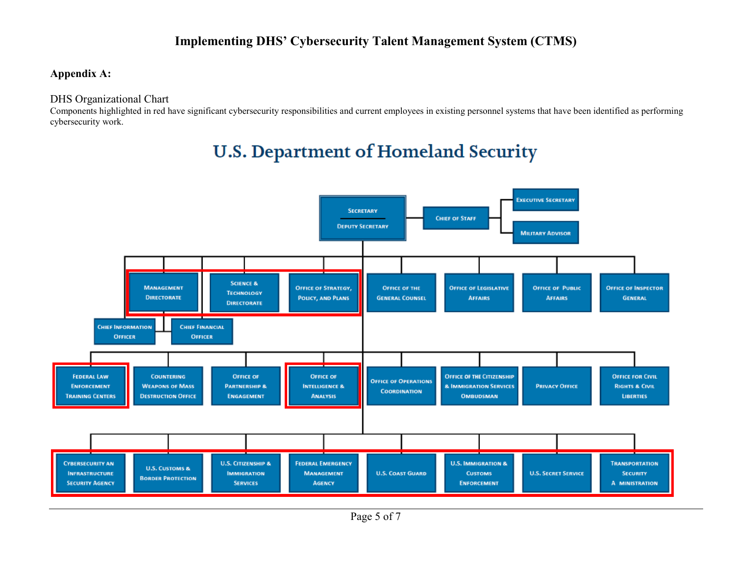### **Appendix A:**

#### DHS Organizational Chart

Components highlighted in red have significant cybersecurity responsibilities and current employees in existing personnel systems that have been identified as performing cybersecurity work.

# **U.S. Department of Homeland Security**

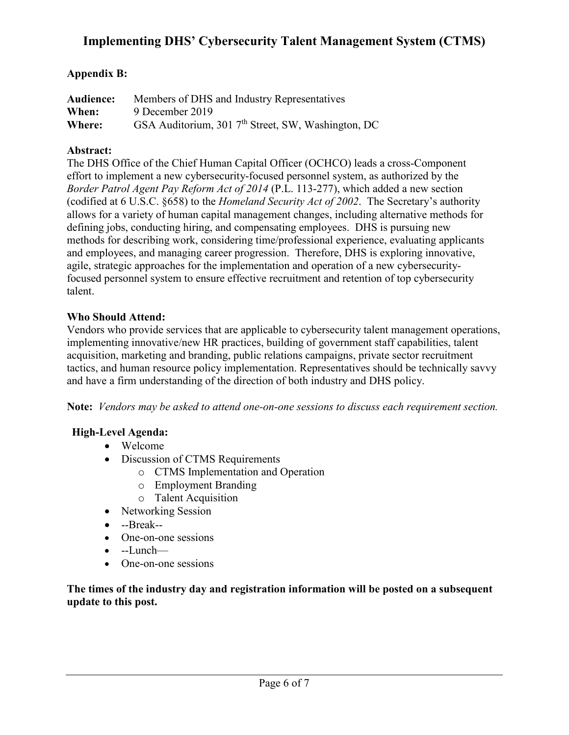### **Appendix B:**

| Audience: | Members of DHS and Industry Representatives                    |
|-----------|----------------------------------------------------------------|
| When:     | 9 December 2019                                                |
| Where:    | GSA Auditorium, 301 7 <sup>th</sup> Street, SW, Washington, DC |

#### **Abstract:**

The DHS Office of the Chief Human Capital Officer (OCHCO) leads a cross-Component effort to implement a new cybersecurity-focused personnel system, as authorized by the *Border Patrol Agent Pay Reform Act of 2014* (P.L. 113-277), which added a new section (codified at 6 U.S.C. §658) to the *Homeland Security Act of 2002*. The Secretary's authority allows for a variety of human capital management changes, including alternative methods for defining jobs, conducting hiring, and compensating employees. DHS is pursuing new methods for describing work, considering time/professional experience, evaluating applicants and employees, and managing career progression. Therefore, DHS is exploring innovative, agile, strategic approaches for the implementation and operation of a new cybersecurityfocused personnel system to ensure effective recruitment and retention of top cybersecurity talent.

#### **Who Should Attend:**

Vendors who provide services that are applicable to cybersecurity talent management operations, implementing innovative/new HR practices, building of government staff capabilities, talent acquisition, marketing and branding, public relations campaigns, private sector recruitment tactics, and human resource policy implementation. Representatives should be technically savvy and have a firm understanding of the direction of both industry and DHS policy.

**Note:** *Vendors may be asked to attend one-on-one sessions to discuss each requirement section.* 

### **High-Level Agenda:**

- Welcome
- Discussion of CTMS Requirements
	- o CTMS Implementation and Operation
	- o Employment Branding
	- o Talent Acquisition
- Networking Session
- --Break--
- One-on-one sessions
- --Lunch—
- One-on-one sessions

**The times of the industry day and registration information will be posted on a subsequent update to this post.**